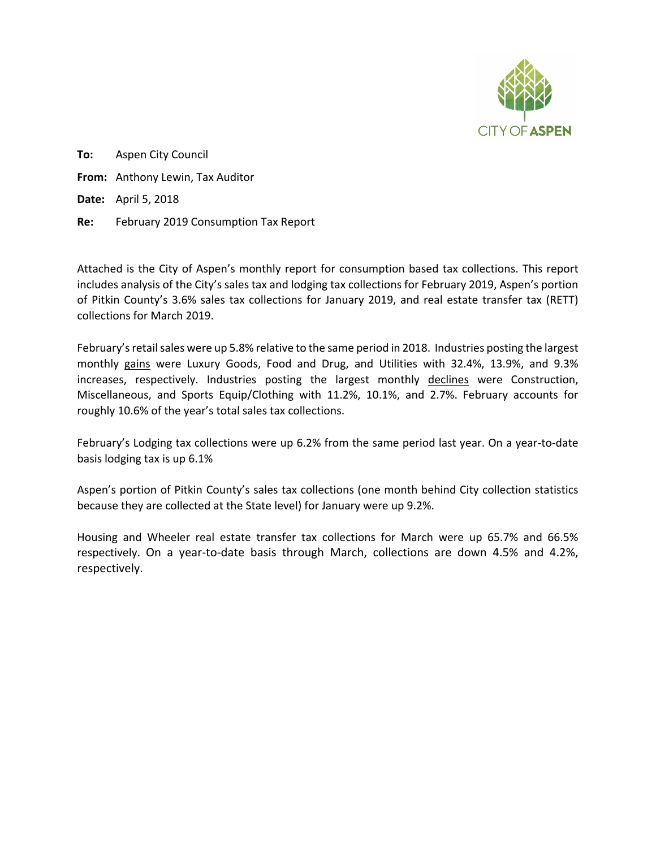

**To:** Aspen City Council **From:** Anthony Lewin, Tax Auditor **Date:** April 5, 2018 **Re:** February 2019 Consumption Tax Report

Attached is the City of Aspen's monthly report for consumption based tax collections. This report includes analysis of the City's sales tax and lodging tax collections for February 2019, Aspen's portion of Pitkin County's 3.6% sales tax collections for January 2019, and real estate transfer tax (RETT) collections for March 2019.

February'sretail sales were up 5.8% relative to the same period in 2018. Industries posting the largest monthly gains were Luxury Goods, Food and Drug, and Utilities with 32.4%, 13.9%, and 9.3% increases, respectively. Industries posting the largest monthly declines were Construction, Miscellaneous, and Sports Equip/Clothing with 11.2%, 10.1%, and 2.7%. February accounts for roughly 10.6% of the year's total sales tax collections.

February's Lodging tax collections were up 6.2% from the same period last year. On a year-to-date basis lodging tax is up 6.1%

Aspen's portion of Pitkin County's sales tax collections (one month behind City collection statistics because they are collected at the State level) for January were up 9.2%.

Housing and Wheeler real estate transfer tax collections for March were up 65.7% and 66.5% respectively. On a year-to-date basis through March, collections are down 4.5% and 4.2%, respectively.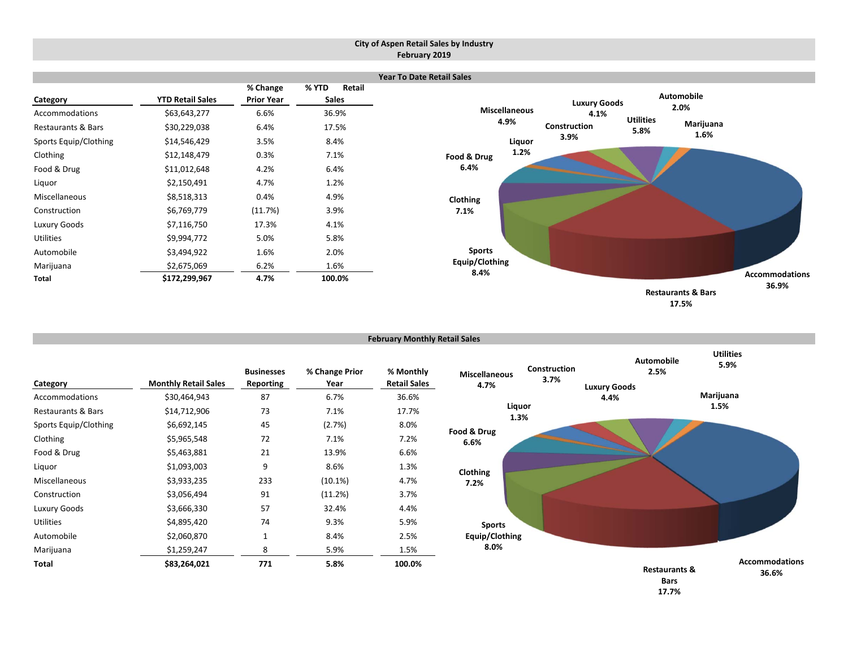#### **City of Aspen Retail Sales by Industry February 2019**

|                                      |                              |                               |                                 | <b>Year To Date Retail Sales</b> |                      |                          |                               |                                |
|--------------------------------------|------------------------------|-------------------------------|---------------------------------|----------------------------------|----------------------|--------------------------|-------------------------------|--------------------------------|
| Category                             | <b>YTD Retail Sales</b>      | % Change<br><b>Prior Year</b> | % YTD<br>Retail<br><b>Sales</b> | <b>Miscellaneous</b>             | <b>Luxury Goods</b>  |                          | <b>Automobile</b><br>2.0%     |                                |
| Accommodations<br>Restaurants & Bars | \$63,643,277<br>\$30,229,038 | 6.6%<br>6.4%                  | 36.9%<br>17.5%                  | 4.9%                             | 4.1%<br>Construction | <b>Utilities</b><br>5.8% | Marijuana                     |                                |
| Sports Equip/Clothing                | \$14,546,429                 | 3.5%                          | 8.4%                            | Liquor                           | 3.9%                 |                          | 1.6%                          |                                |
| Clothing                             | \$12,148,479                 | 0.3%                          | 7.1%                            | 1.2%<br>Food & Drug              |                      |                          |                               |                                |
| Food & Drug                          | \$11,012,648                 | 4.2%                          | 6.4%                            | 6.4%                             |                      |                          |                               |                                |
| Liquor                               | \$2,150,491                  | 4.7%                          | 1.2%                            |                                  |                      |                          |                               |                                |
| Miscellaneous                        | \$8,518,313                  | 0.4%                          | 4.9%                            | Clothing                         |                      |                          |                               |                                |
| Construction                         | \$6,769,779                  | (11.7%)                       | 3.9%                            | 7.1%                             |                      |                          |                               |                                |
| Luxury Goods                         | \$7,116,750                  | 17.3%                         | 4.1%                            |                                  |                      |                          |                               |                                |
| Utilities                            | \$9,994,772                  | 5.0%                          | 5.8%                            |                                  |                      |                          |                               |                                |
| Automobile                           | \$3,494,922                  | 1.6%                          | 2.0%                            | <b>Sports</b>                    |                      |                          |                               |                                |
| Marijuana                            | \$2,675,069                  | 6.2%                          | 1.6%                            | Equip/Clothing                   |                      |                          |                               |                                |
| Total                                | \$172,299,967                | 4.7%                          | 100.0%                          | 8.4%                             |                      |                          |                               | <b>Accommodations</b><br>36.9% |
|                                      |                              |                               |                                 |                                  |                      |                          | <b>Restaurants &amp; Bars</b> |                                |

**17.5%**

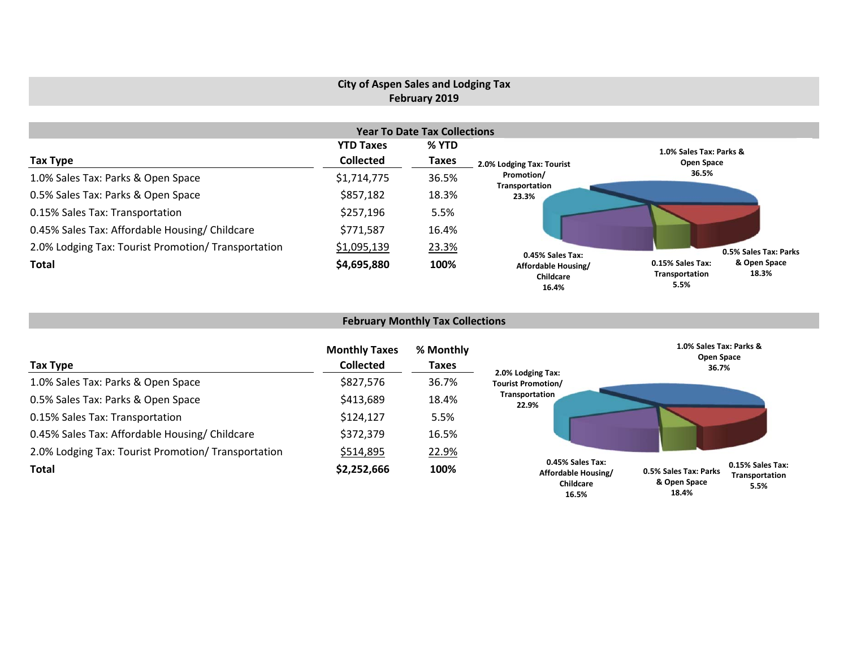# **City of Aspen Sales and Lodging Tax February 2019**

|                                                     |                  | <b>Year To Date Tax Collections</b> |                                           |                                                                     |  |
|-----------------------------------------------------|------------------|-------------------------------------|-------------------------------------------|---------------------------------------------------------------------|--|
|                                                     | <b>YTD Taxes</b> | % YTD                               |                                           | 1.0% Sales Tax: Parks &                                             |  |
| Tax Type                                            | <b>Collected</b> | <b>Taxes</b>                        | 2.0% Lodging Tax: Tourist                 | Open Space                                                          |  |
| 1.0% Sales Tax: Parks & Open Space                  | \$1,714,775      | 36.5%                               | Promotion/                                | 36.5%                                                               |  |
| 0.5% Sales Tax: Parks & Open Space                  | \$857,182        | 18.3%                               | Transportation<br>23.3%                   |                                                                     |  |
| 0.15% Sales Tax: Transportation                     | \$257,196        | 5.5%                                |                                           |                                                                     |  |
| 0.45% Sales Tax: Affordable Housing/ Childcare      | \$771,587        | 16.4%                               |                                           |                                                                     |  |
| 2.0% Lodging Tax: Tourist Promotion/ Transportation | \$1,095,139      | 23.3%                               | 0.45% Sales Tax:                          | 0.5% Sales Tax: Parks                                               |  |
| <b>Total</b>                                        | \$4,695,880      | 100%                                | Affordable Housing/<br>Childcare<br>16.4% | & Open Space<br>0.15% Sales Tax:<br>18.3%<br>Transportation<br>5.5% |  |

# **February Monthly Tax Collections**

| Tax Type                                            | <b>Monthly Taxes</b><br><b>Collected</b> | % Monthly<br><b>Taxes</b> | 2.0% Lodging Tax:                                             | 1.0% Sales Tax: Parks &<br>Open Space<br>36.7%                                               |  |
|-----------------------------------------------------|------------------------------------------|---------------------------|---------------------------------------------------------------|----------------------------------------------------------------------------------------------|--|
| 1.0% Sales Tax: Parks & Open Space                  | \$827,576                                | 36.7%                     | <b>Tourist Promotion/</b>                                     |                                                                                              |  |
| 0.5% Sales Tax: Parks & Open Space                  | \$413,689                                | 18.4%                     | Transportation<br>22.9%                                       |                                                                                              |  |
| 0.15% Sales Tax: Transportation                     | \$124,127                                | 5.5%                      |                                                               |                                                                                              |  |
| 0.45% Sales Tax: Affordable Housing/ Childcare      | \$372,379                                | 16.5%                     |                                                               |                                                                                              |  |
| 2.0% Lodging Tax: Tourist Promotion/ Transportation | \$514,895                                | 22.9%                     |                                                               |                                                                                              |  |
| <b>Total</b>                                        | \$2,252,666                              | 100%                      | 0.45% Sales Tax:<br>Affordable Housing/<br>Childcare<br>16.5% | 0.15% Sales Tax:<br>0.5% Sales Tax: Parks<br>Transportation<br>& Open Space<br>5.5%<br>18.4% |  |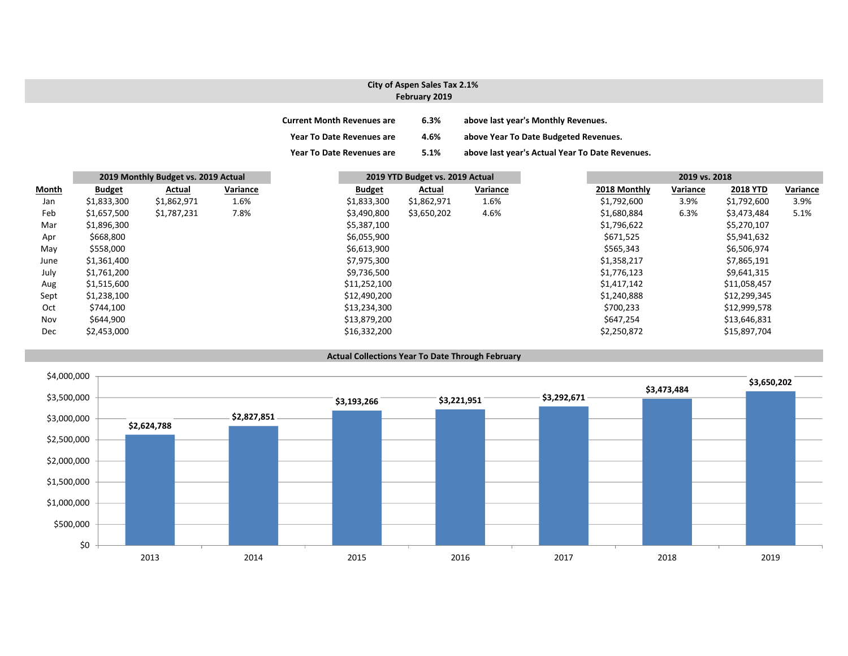### **City of Aspen Sales Tax 2.1% February 2019**

| <b>Current Month Revenues are</b> | 6.3% | above last year's Monthly Revenues.             |
|-----------------------------------|------|-------------------------------------------------|
| <b>Year To Date Revenues are</b>  | 4.6% | above Year To Date Budgeted Revenues.           |
| <b>Year To Date Revenues are</b>  | 5.1% | above last year's Actual Year To Date Revenues. |

|       |               | 2019 Monthly Budget vs. 2019 Actual |          |               | 2019 YTD Budget vs. 2019 Actual |          |  | 2019 vs. 2018 |          |                 |
|-------|---------------|-------------------------------------|----------|---------------|---------------------------------|----------|--|---------------|----------|-----------------|
| Month | <b>Budget</b> | Actual                              | Variance | <b>Budget</b> | Actual                          | Variance |  | 2018 Monthly  | Variance | <b>2018 YTD</b> |
| Jan   | \$1,833,300   | \$1,862,971                         | 1.6%     | \$1,833,300   | \$1,862,971                     | 1.6%     |  | \$1,792,600   | 3.9%     | \$1,792,600     |
| Feb   | \$1,657,500   | \$1,787,231                         | 7.8%     | \$3,490,800   | \$3,650,202                     | 4.6%     |  | \$1,680,884   | 6.3%     | \$3,473,484     |
| Mar   | \$1,896,300   |                                     |          | \$5,387,100   |                                 |          |  | \$1,796,622   |          | \$5,270,107     |
| Apr   | \$668,800     |                                     |          | \$6,055,900   |                                 |          |  | \$671,525     |          | \$5,941,632     |
| May   | \$558,000     |                                     |          | \$6,613,900   |                                 |          |  | \$565,343     |          | \$6,506,974     |
| June  | \$1,361,400   |                                     |          | \$7,975,300   |                                 |          |  | \$1,358,217   |          | \$7,865,191     |
| July  | \$1,761,200   |                                     |          | \$9,736,500   |                                 |          |  | \$1,776,123   |          | \$9,641,315     |
| Aug   | \$1,515,600   |                                     |          | \$11,252,100  |                                 |          |  | \$1,417,142   |          | \$11,058,457    |
| Sept  | \$1,238,100   |                                     |          | \$12,490,200  |                                 |          |  | \$1,240,888   |          | \$12,299,345    |
| Oct   | \$744,100     |                                     |          | \$13,234,300  |                                 |          |  | \$700,233     |          | \$12,999,578    |
| Nov   | \$644,900     |                                     |          | \$13,879,200  |                                 |          |  | \$647,254     |          | \$13,646,831    |
| Dec   | \$2,453,000   |                                     |          | \$16,332,200  |                                 |          |  | \$2,250,872   |          | \$15,897,704    |



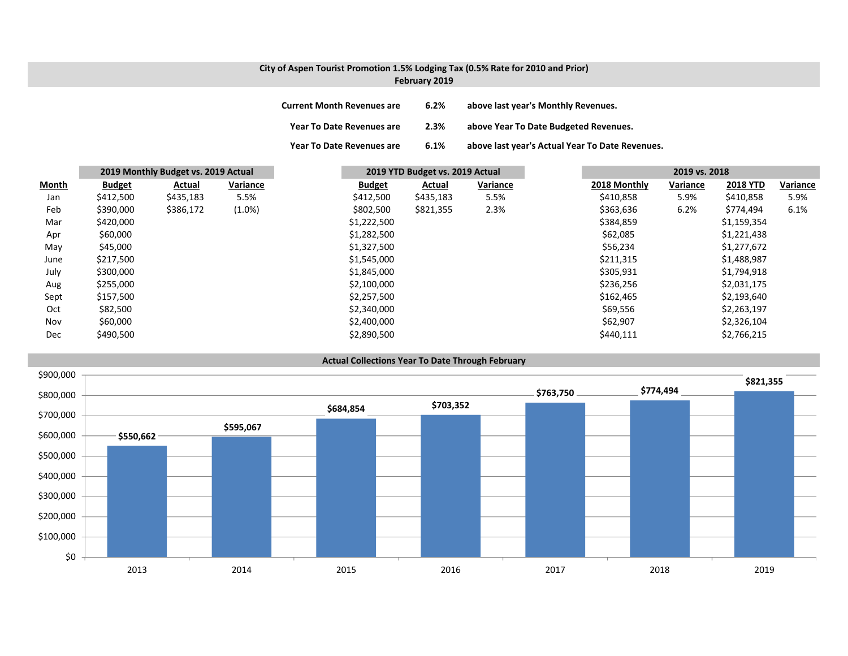## **City of Aspen Tourist Promotion 1.5% Lodging Tax (0.5% Rate for 2010 and Prior) February 2019**

| <b>Current Month Revenues are</b> | 6.2% | above last year's Monthly Revenues.             |
|-----------------------------------|------|-------------------------------------------------|
| <b>Year To Date Revenues are</b>  | 2.3% | above Year To Date Budgeted Revenues.           |
| <b>Year To Date Revenues are</b>  | 6.1% | above last year's Actual Year To Date Revenues. |

|              |               | 2019 Monthly Budget vs. 2019 Actual |           |               | 2019 YTD Budget vs. 2019 Actual |           |          | 2019 vs. 2018 |          |                 |          |
|--------------|---------------|-------------------------------------|-----------|---------------|---------------------------------|-----------|----------|---------------|----------|-----------------|----------|
| <b>Month</b> | <b>Budget</b> | Actual                              | Variance  | <b>Budget</b> |                                 | Actual    | Variance | 2018 Monthly  | Variance | <b>2018 YTD</b> | Variance |
| Jan          | \$412,500     | \$435,183                           | 5.5%      | \$412,500     |                                 | \$435,183 | 5.5%     | \$410,858     | 5.9%     | \$410,858       | 5.9%     |
| Feb          | \$390,000     | \$386,172                           | $(1.0\%)$ | \$802,500     |                                 | \$821,355 | 2.3%     | \$363,636     | 6.2%     | \$774,494       | 6.1%     |
| Mar          | \$420,000     |                                     |           | \$1,222,500   |                                 |           |          | \$384,859     |          | \$1,159,354     |          |
| Apr          | \$60,000      |                                     |           | \$1,282,500   |                                 |           |          | \$62,085      |          | \$1,221,438     |          |
| May          | \$45,000      |                                     |           | \$1,327,500   |                                 |           |          | \$56,234      |          | \$1,277,672     |          |
| June         | \$217,500     |                                     |           | \$1,545,000   |                                 |           |          | \$211,315     |          | \$1,488,987     |          |
| July         | \$300,000     |                                     |           | \$1,845,000   |                                 |           |          | \$305,931     |          | \$1,794,918     |          |
| Aug          | \$255,000     |                                     |           | \$2,100,000   |                                 |           |          | \$236,256     |          | \$2,031,175     |          |
| Sept         | \$157,500     |                                     |           | \$2,257,500   |                                 |           |          | \$162,465     |          | \$2,193,640     |          |
| Oct          | \$82,500      |                                     |           | \$2,340,000   |                                 |           |          | \$69,556      |          | \$2,263,197     |          |
| Nov          | \$60,000      |                                     |           | \$2,400,000   |                                 |           |          | \$62,907      |          | \$2,326,104     |          |
| Dec          | \$490,500     |                                     |           | \$2,890,500   |                                 |           |          | \$440,111     |          | \$2,766,215     |          |

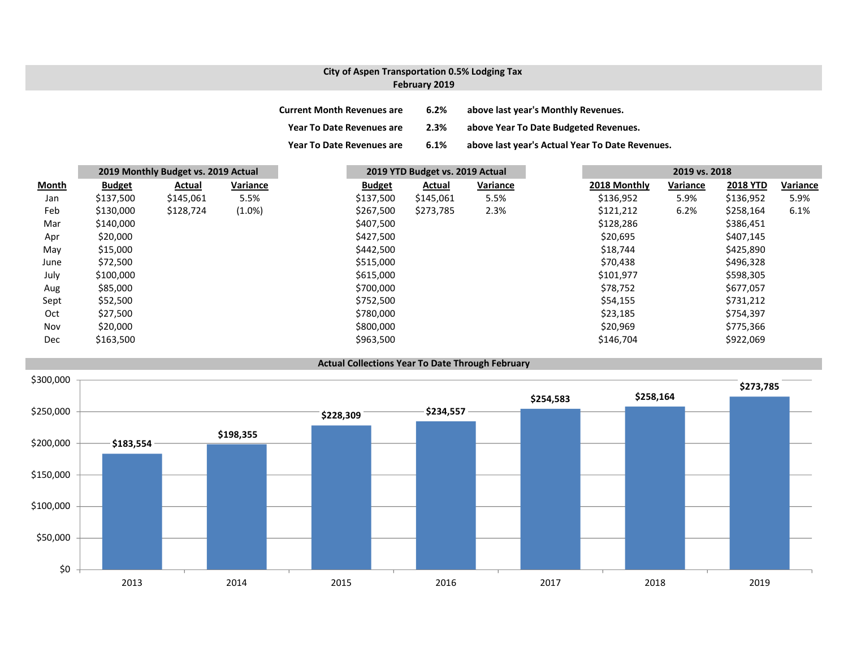## **City of Aspen Transportation 0.5% Lodging Tax February 2019**

| <b>Current Month Revenues are</b> | 6.2% | above last year's Monthly Revenues.             |
|-----------------------------------|------|-------------------------------------------------|
| <b>Year To Date Revenues are</b>  | 2.3% | above Year To Date Budgeted Revenues.           |
| <b>Year To Date Revenues are</b>  | 6.1% | above last year's Actual Year To Date Revenues. |

|              |               | 2019 Monthly Budget vs. 2019 Actual |           | 2019 YTD Budget vs. 2019 Actual |           | 2019 vs. 2018 |              |          |                 |          |
|--------------|---------------|-------------------------------------|-----------|---------------------------------|-----------|---------------|--------------|----------|-----------------|----------|
| <b>Month</b> | <b>Budget</b> | Actual                              | Variance  | <b>Budget</b>                   | Actual    | Variance      | 2018 Monthly | Variance | <b>2018 YTD</b> | Variance |
| Jan          | \$137,500     | \$145,061                           | 5.5%      | \$137,500                       | \$145,061 | 5.5%          | \$136,952    | 5.9%     | \$136,952       | 5.9%     |
| Feb          | \$130,000     | \$128,724                           | $(1.0\%)$ | \$267,500                       | \$273,785 | 2.3%          | \$121,212    | 6.2%     | \$258,164       | 6.1%     |
| Mar          | \$140,000     |                                     |           | \$407,500                       |           |               | \$128,286    |          | \$386,451       |          |
| Apr          | \$20,000      |                                     |           | \$427,500                       |           |               | \$20,695     |          | \$407,145       |          |
| May          | \$15,000      |                                     |           | \$442,500                       |           |               | \$18,744     |          | \$425,890       |          |
| June         | \$72,500      |                                     |           | \$515,000                       |           |               | \$70,438     |          | \$496,328       |          |
| July         | \$100,000     |                                     |           | \$615,000                       |           |               | \$101,977    |          | \$598,305       |          |
| Aug          | \$85,000      |                                     |           | \$700,000                       |           |               | \$78,752     |          | \$677,057       |          |
| Sept         | \$52,500      |                                     |           | \$752,500                       |           |               | \$54,155     |          | \$731,212       |          |
| Oct          | \$27,500      |                                     |           | \$780,000                       |           |               | \$23,185     |          | \$754,397       |          |
| Nov          | \$20,000      |                                     |           | \$800,000                       |           |               | \$20,969     |          | \$775,366       |          |
| Dec          | \$163,500     |                                     |           | \$963,500                       |           |               | \$146,704    |          | \$922,069       |          |

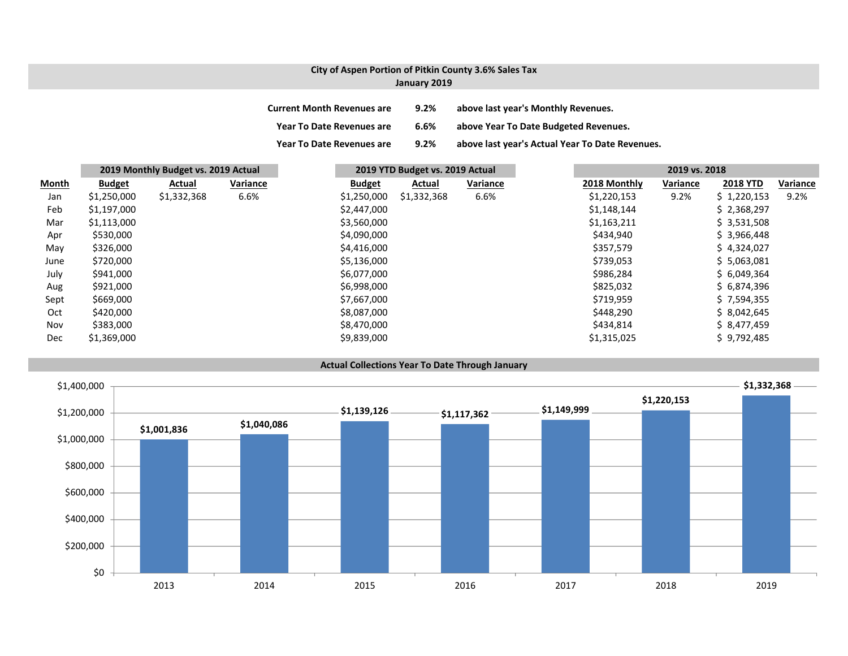## **City of Aspen Portion of Pitkin County 3.6% Sales Tax January 2019**

| <b>Current Month Revenues are</b> | $9.2\%$ | above last year's Monthly Revenues.             |
|-----------------------------------|---------|-------------------------------------------------|
| <b>Year To Date Revenues are</b>  | 6.6%    | above Year To Date Budgeted Revenues.           |
| <b>Year To Date Revenues are</b>  | $9.2\%$ | above last year's Actual Year To Date Revenues. |

|              |               | 2019 Monthly Budget vs. 2019 Actual |          |               | 2019 YTD Budget vs. 2019 Actual |          |  | 2019 vs. 2018 |          |                 |          |
|--------------|---------------|-------------------------------------|----------|---------------|---------------------------------|----------|--|---------------|----------|-----------------|----------|
| <b>Month</b> | <b>Budget</b> | Actual                              | Variance | <b>Budget</b> | Actual                          | Variance |  | 2018 Monthly  | Variance | <b>2018 YTD</b> | Variance |
| Jan          | \$1,250,000   | \$1,332,368                         | 6.6%     | \$1,250,000   | \$1,332,368                     | 6.6%     |  | \$1,220,153   | 9.2%     | \$1,220,153     | 9.2%     |
| Feb          | \$1,197,000   |                                     |          | \$2,447,000   |                                 |          |  | \$1,148,144   |          | \$2,368,297     |          |
| Mar          | \$1,113,000   |                                     |          | \$3,560,000   |                                 |          |  | \$1,163,211   |          | \$3,531,508     |          |
| Apr          | \$530,000     |                                     |          | \$4,090,000   |                                 |          |  | \$434,940     |          | \$3,966,448     |          |
| May          | \$326,000     |                                     |          | \$4,416,000   |                                 |          |  | \$357,579     |          | \$4,324,027     |          |
| June         | \$720,000     |                                     |          | \$5,136,000   |                                 |          |  | \$739,053     |          | \$5,063,081     |          |
| July         | \$941,000     |                                     |          | \$6,077,000   |                                 |          |  | \$986,284     |          | \$6,049,364     |          |
| Aug          | \$921,000     |                                     |          | \$6,998,000   |                                 |          |  | \$825,032     |          | \$6,874,396     |          |
| Sept         | \$669,000     |                                     |          | \$7,667,000   |                                 |          |  | \$719,959     |          | \$7,594,355     |          |
| Oct          | \$420,000     |                                     |          | \$8,087,000   |                                 |          |  | \$448,290     |          | \$8,042,645     |          |
| Nov          | \$383,000     |                                     |          | \$8,470,000   |                                 |          |  | \$434,814     |          | \$8,477,459     |          |
| Dec          | \$1,369,000   |                                     |          | \$9,839,000   |                                 |          |  | \$1,315,025   |          | \$9,792,485     |          |



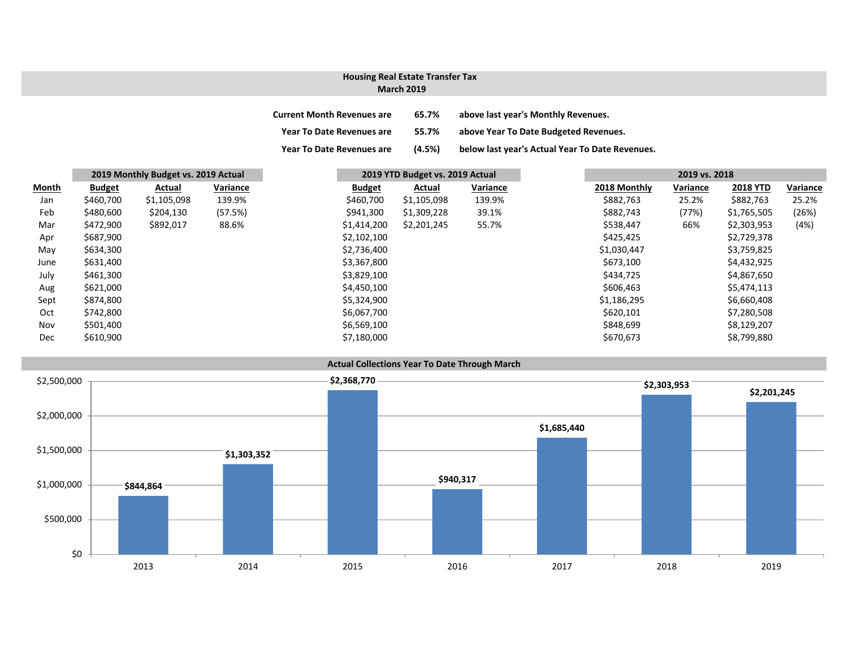# **Housing Real Estate Transfer Tax**

### **March 2019**

| <b>Current Month Revenues are</b> | 65.7%  | above last year's Monthly Revenues.             |
|-----------------------------------|--------|-------------------------------------------------|
| Year To Date Revenues are         | 55.7%  | above Year To Date Budgeted Revenues.           |
| <b>Year To Date Revenues are</b>  | (4.5%) | below last year's Actual Year To Date Revenues. |

|              | 2019 Monthly Budget vs. 2019 Actual |             |          |  | 2019 YTD Budget vs. 2019 Actual |             |          |              | 2019 vs. 2018 |                 |          |
|--------------|-------------------------------------|-------------|----------|--|---------------------------------|-------------|----------|--------------|---------------|-----------------|----------|
| <b>Month</b> | <b>Budget</b>                       | Actual      | Variance |  | <b>Budget</b>                   | Actual      | Variance | 2018 Monthly | Variance      | <b>2018 YTD</b> | Variance |
| Jan          | \$460,700                           | \$1,105,098 | 139.9%   |  | \$460,700                       | \$1,105,098 | 139.9%   | \$882,763    | 25.2%         | \$882,763       | 25.2%    |
| Feb          | \$480,600                           | \$204,130   | (57.5%)  |  | \$941,300                       | \$1,309,228 | 39.1%    | \$882,743    | (77%)         | \$1,765,505     | (26%)    |
| Mar          | \$472,900                           | \$892,017   | 88.6%    |  | \$1,414,200                     | \$2,201,245 | 55.7%    | \$538,447    | 66%           | \$2,303,953     | (4%)     |
| Apr          | \$687,900                           |             |          |  | \$2,102,100                     |             |          | \$425,425    |               | \$2,729,378     |          |
| May          | \$634,300                           |             |          |  | \$2,736,400                     |             |          | \$1,030,447  |               | \$3,759,825     |          |
| June         | \$631,400                           |             |          |  | \$3,367,800                     |             |          | \$673,100    |               | \$4,432,925     |          |
| July         | \$461,300                           |             |          |  | \$3,829,100                     |             |          | \$434,725    |               | \$4,867,650     |          |
| Aug          | \$621,000                           |             |          |  | \$4,450,100                     |             |          | \$606,463    |               | \$5,474,113     |          |
| Sept         | \$874,800                           |             |          |  | \$5,324,900                     |             |          | \$1,186,295  |               | \$6,660,408     |          |
| Oct          | \$742,800                           |             |          |  | \$6,067,700                     |             |          | \$620,101    |               | \$7,280,508     |          |
| Nov          | \$501,400                           |             |          |  | \$6,569,100                     |             |          | \$848,699    |               | \$8,129,207     |          |
| Dec          | \$610,900                           |             |          |  | \$7,180,000                     |             |          | \$670,673    |               | \$8,799,880     |          |